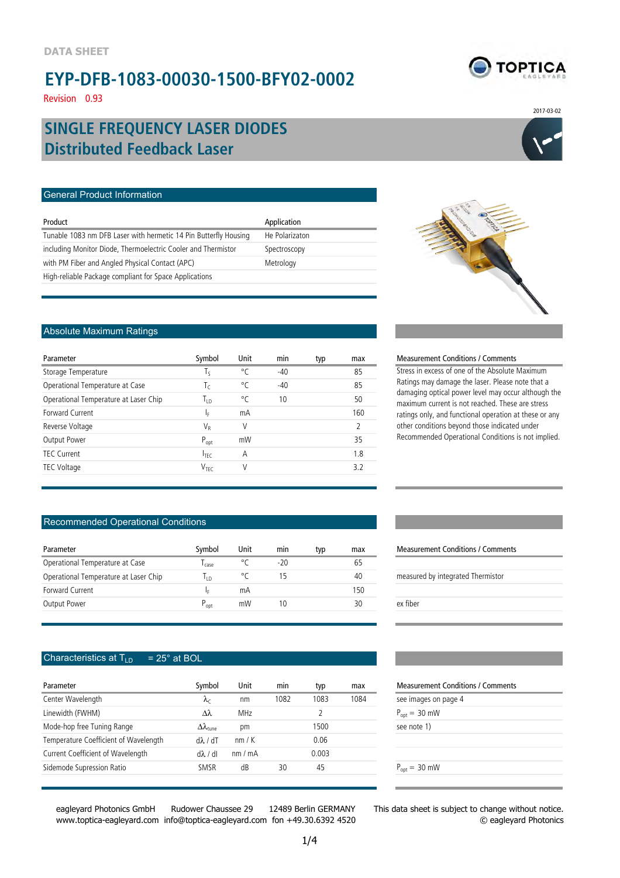Revision 0.93

# **TOPTICA**

2017-03-02

# **Distributed Feedback Laser SINGLE FREQUENCY LASER DIODES**

#### General Product Information

| Product                                                          | Application    |
|------------------------------------------------------------------|----------------|
| Tunable 1083 nm DFB Laser with hermetic 14 Pin Butterfly Housing | He Polarizaton |
| including Monitor Diode, Thermoelectric Cooler and Thermistor    | Spectroscopy   |
| with PM Fiber and Angled Physical Contact (APC)                  | Metrology      |
| High-reliable Package compliant for Space Applications           |                |

#### Absolute Maximum Ratings

| Parameter                             | Symbol           | Unit | min   | typ | max           |
|---------------------------------------|------------------|------|-------|-----|---------------|
| Storage Temperature                   | Τς               | °C   | $-40$ |     | 85            |
| Operational Temperature at Case       | Τc               | °C   | $-40$ |     | 85            |
| Operational Temperature at Laser Chip | Tть              | °C   | 10    |     | 50            |
| Forward Current                       | ΙF               | mA   |       |     | 160           |
| Reverse Voltage                       | $V_{R}$          | V    |       |     | $\mathcal{L}$ |
| Output Power                          | $P_{opt}$        | mW   |       |     | 35            |
| TFC Current                           | $I_{\text{TEC}}$ | Α    |       |     | 1.8           |
| TEC Voltage                           | V <sub>TFC</sub> | V    |       |     | 32            |
|                                       |                  |      |       |     |               |

#### Recommended Operational Conditions

| Parameter                             | Symbol    | Unit | mın   | tvp | max | <b>Measurement Conditions / Comm</b> |
|---------------------------------------|-----------|------|-------|-----|-----|--------------------------------------|
| Operational Temperature at Case       | case      |      | $-20$ |     | 65  |                                      |
| Operational Temperature at Laser Chip | חו        |      |       |     | 40  | measured by integrated Thermistor    |
| Forward Current                       |           | mА   |       |     | 150 |                                      |
| Output Power                          | $P_{opt}$ | mW   |       |     | 30  | ex fiber                             |

#### Characteristics at  $T_{LD}$  = 25° at BOL

| Parameter                             | Symbol                        | Unit       | min  | typ   | max  | <b>Measurement Conditi</b> |
|---------------------------------------|-------------------------------|------------|------|-------|------|----------------------------|
| Center Wavelength                     | $\lambda_c$                   | nm         | 1082 | 1083  | 1084 | see images on page 4       |
| Linewidth (FWHM)                      | $\lambda\lambda$              | <b>MHz</b> |      |       |      | $P_{\text{ont}} = 30$ mW   |
| Mode-hop free Tuning Range            | $\Delta\lambda_{\text{tune}}$ | рm         |      | 1500  |      | see note 1)                |
| Temperature Coefficient of Wavelength | $d\lambda/dT$                 | nm/K       |      | 0.06  |      |                            |
| Current Coefficient of Wavelength     | $d\lambda/dl$                 | nm/mA      |      | 0.003 |      |                            |
| Sidemode Supression Ratio             | SMSR                          | dB         | 30   | 45    |      | $P_{\text{ont}} = 30$ mW   |
|                                       |                               |            |      |       |      |                            |

eagleyard Photonics GmbH Rudower Chaussee 29 12489 Berlin GERMANY www.toptica-eagleyard.com info@toptica-eagleyard.com fon +49.30.6392 4520



#### Measurement Conditions / Comments

Stress in excess of one of the Absolute Maximum Ratings may damage the laser. Please note that a damaging optical power level may occur although the maximum current is not reached. These are stress ratings only, and functional operation at these or any other conditions beyond those indicated under Recommended Operational Conditions is not implied.

### Measurement Conditions / Comments

| measured by integrated Thermistor |
|-----------------------------------|
|                                   |
| ex fiber                          |
|                                   |

#### Measurement Conditions / Comments

| see images on page 4 |
|----------------------|
| $P_{opt} = 30$ mW    |
| see note 1)          |
|                      |
|                      |
| $P_{opt} = 30$ mW    |
|                      |

This data sheet is subject to change without notice. © eagleyard Photonics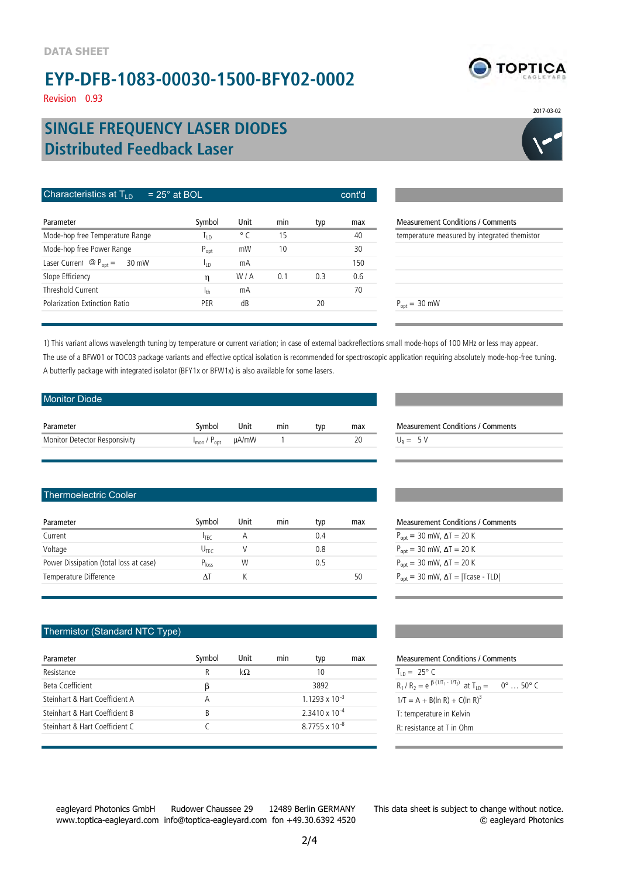Revision 0.93

### **Distributed Feedback Laser SINGLE FREQUENCY LASER DIODES**

| Characteristics at $T_{\text{LD}}$<br>$= 25^\circ$ at BOL |                  | cont'd       |     |     |     |                          |
|-----------------------------------------------------------|------------------|--------------|-----|-----|-----|--------------------------|
| Parameter                                                 | Symbol           | Unit         | min | typ | max | Measurement              |
| Mode-hop free Temperature Range                           | Т <sub>і р</sub> | $^{\circ}$ C | 15  |     | 40  | temperature n            |
| Mode-hop free Power Range                                 | $P_{opt}$        | mW           | 10  |     | 30  |                          |
| Laser Current $\circledR$ P <sub>opt</sub> =<br>30 mW     | Ιıη              | mΑ           |     |     | 150 |                          |
| Slope Efficiency                                          | η                | W/A          | 0.1 | 0.3 | 0.6 |                          |
| Threshold Current                                         | 1 <sub>th</sub>  | mA           |     |     | 70  |                          |
| Polarization Extinction Ratio                             | PER              | dB           |     | 20  |     | $P_{\text{ont}} = 30$ mW |



1) This variant allows wavelength tuning by temperature or current variation; in case of external backreflections small mode-hops of 100 MHz or less may appear. The use of a BFW01 or TOC03 package variants and effective optical isolation is recommended for spectroscopic application requiring absolutely mode-hop-free tuning. A butterfly package with integrated isolator (BFY1x or BFW1x) is also available for some lasers.

| <b>Monitor Diode</b>          |                                                |      |     |     |     |            |
|-------------------------------|------------------------------------------------|------|-----|-----|-----|------------|
| Parameter                     | Symbol                                         | Unit | min | typ | max | Measuren   |
| Monitor Detector Responsivity | $I_{\text{mon}}$ / $P_{\text{oot}}$ $\mu$ A/mW |      |     |     | 20  | $U_R = 5V$ |

Measurement Conditions / Comments

#### Thermoelectric Cooler

| Parameter                              | Symbol           | Unit | min | typ | max | <b>Measurement Conditions / Comments</b>                     |
|----------------------------------------|------------------|------|-----|-----|-----|--------------------------------------------------------------|
| Current                                | $I$ TFC          | А    |     | 0.4 |     | $P_{\text{opt}} = 30 \text{ mW}$ , $\Delta T = 20 \text{ K}$ |
| Voltage                                | $U_{\text{TFC}}$ |      |     | 0.8 |     | $P_{\text{opt}} = 30 \text{ mW}$ , $\Delta T = 20 \text{ K}$ |
| Power Dissipation (total loss at case) | $P_{loss}$       | W    |     | 0.5 |     | $P_{\text{opt}} = 30 \text{ mW}$ , $\Delta T = 20 \text{ K}$ |
| Temperature Difference                 | $\Lambda$ T      |      |     |     | 50  | $P_{\text{opt}} = 30$ mW, $\Delta T =  T \text{case} - TLD $ |
|                                        |                  |      |     |     |     |                                                              |

| <b>Measurement Conditions / Comments</b>                     |  |  |  |  |  |
|--------------------------------------------------------------|--|--|--|--|--|
| $P_{\text{opt}} = 30 \text{ mW}$ , $\Delta T = 20 \text{ K}$ |  |  |  |  |  |
| $P_{\text{opt}} = 30 \text{ mW}$ , $\Delta T = 20 \text{ K}$ |  |  |  |  |  |
| $P_{opt} = 30$ mW, $\Delta T = 20$ K                         |  |  |  |  |  |
| $P_{\text{opt}} = 30$ mW, $\Delta T =  T \text{case} - TLD $ |  |  |  |  |  |
|                                                              |  |  |  |  |  |

#### Thermistor (Standard NTC Type)

| Parameter                      | Symbol | Unit | min                     | typ                      | max | <b>Measurement Conditions / Comments</b>                      |  |
|--------------------------------|--------|------|-------------------------|--------------------------|-----|---------------------------------------------------------------|--|
| Resistance                     | R      | kΩ   |                         | 10                       |     | $T_{10} = 25^{\circ} C$                                       |  |
| Beta Coefficient               |        |      |                         | 3892                     |     | $R_1/R_2 = e^{\beta (1/T_1 - 1/T_2)}$ at $T_{1D} = 0^\circ$ . |  |
| Steinhart & Hart Coefficient A | А      |      |                         | $1.1293 \times 10^{-3}$  |     | $1/T = A + B(ln R) + C(ln R)3$                                |  |
| Steinhart & Hart Coefficient B | B      |      | $2.3410 \times 10^{-4}$ |                          |     | T: temperature in Kelvin                                      |  |
| Steinhart & Hart Coefficient C |        |      |                         | 87755 x 10 <sup>-8</sup> |     | R: resistance at T in Ohm                                     |  |
|                                |        |      |                         |                          |     |                                                               |  |

| Measurement Conditions / Comments                   |                         |  |  |  |  |  |
|-----------------------------------------------------|-------------------------|--|--|--|--|--|
| $T_{10} = 25^{\circ} C$                             |                         |  |  |  |  |  |
| $R_1/R_2 = e^{\beta (1/T_1 - 1/T_2)}$ at $T_{1D} =$ | $0^\circ$ 50 $^\circ$ C |  |  |  |  |  |
| $1/T = A + B(ln R) + C(ln R)^3$                     |                         |  |  |  |  |  |
| T: temperature in Kelvin                            |                         |  |  |  |  |  |
| R: resistance at T in Ohm                           |                         |  |  |  |  |  |
|                                                     |                         |  |  |  |  |  |

www.toptica-eagleyard.com info@toptica-eagleyard.com fon +49.30.6392 4520

eagleyard Photonics GmbH Rudower Chaussee 29 12489 Berlin GERMANY

This data sheet is subject to change without notice. © eagleyard Photonics



2017-03-02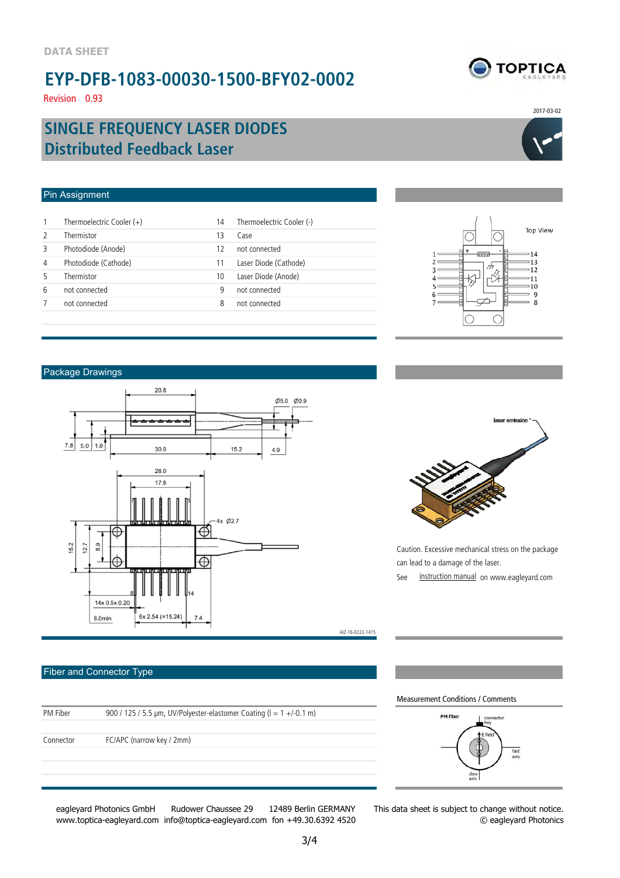Revision 0.93

2017-03-02

**TOPTICA** 

### **Distributed Feedback Laser SINGLE FREQUENCY LASER DIODES**

#### Pin Assignment

| $\mathbf{1}$  | Thermoelectric Cooler $(+)$ | 14 | Thermoelectric Cooler (-) |
|---------------|-----------------------------|----|---------------------------|
| $\mathcal{P}$ | Thermistor                  | 13 | Case                      |
| 3             | Photodiode (Anode)          | 17 | not connected             |
| 4             | Photodiode (Cathode)        |    | Laser Diode (Cathode)     |
| 5             | Thermistor                  | 10 | Laser Diode (Anode)       |
| 6             | not connected               | 9  | not connected             |
| 7             | not connected               | 8  | not connected             |
|               |                             |    |                           |



#### Package Drawings



#### Fiber and Connector Type

| PM Fiber  | 900 / 125 / 5.5 µm, UV/Polyester-elastomer Coating ( $l = 1 +1$ -0.1 m) |
|-----------|-------------------------------------------------------------------------|
|           |                                                                         |
| Connector | FC/APC (narrow key / 2mm)                                               |
|           |                                                                         |
|           |                                                                         |
|           |                                                                         |
|           |                                                                         |

eagleyard Photonics GmbH Rudower Chaussee 29 12489 Berlin GERMANY www.toptica-eagleyard.com info@toptica-eagleyard.com fon +49.30.6392 4520

AIZ-16-0222-1415

Caution. Excessive mechanical stress on the package can lead to a damage of the laser. See instruction manual on www.eagleyard.com

Measurement Conditions / Comments



This data sheet is subject to change without notice. © eagleyard Photonics